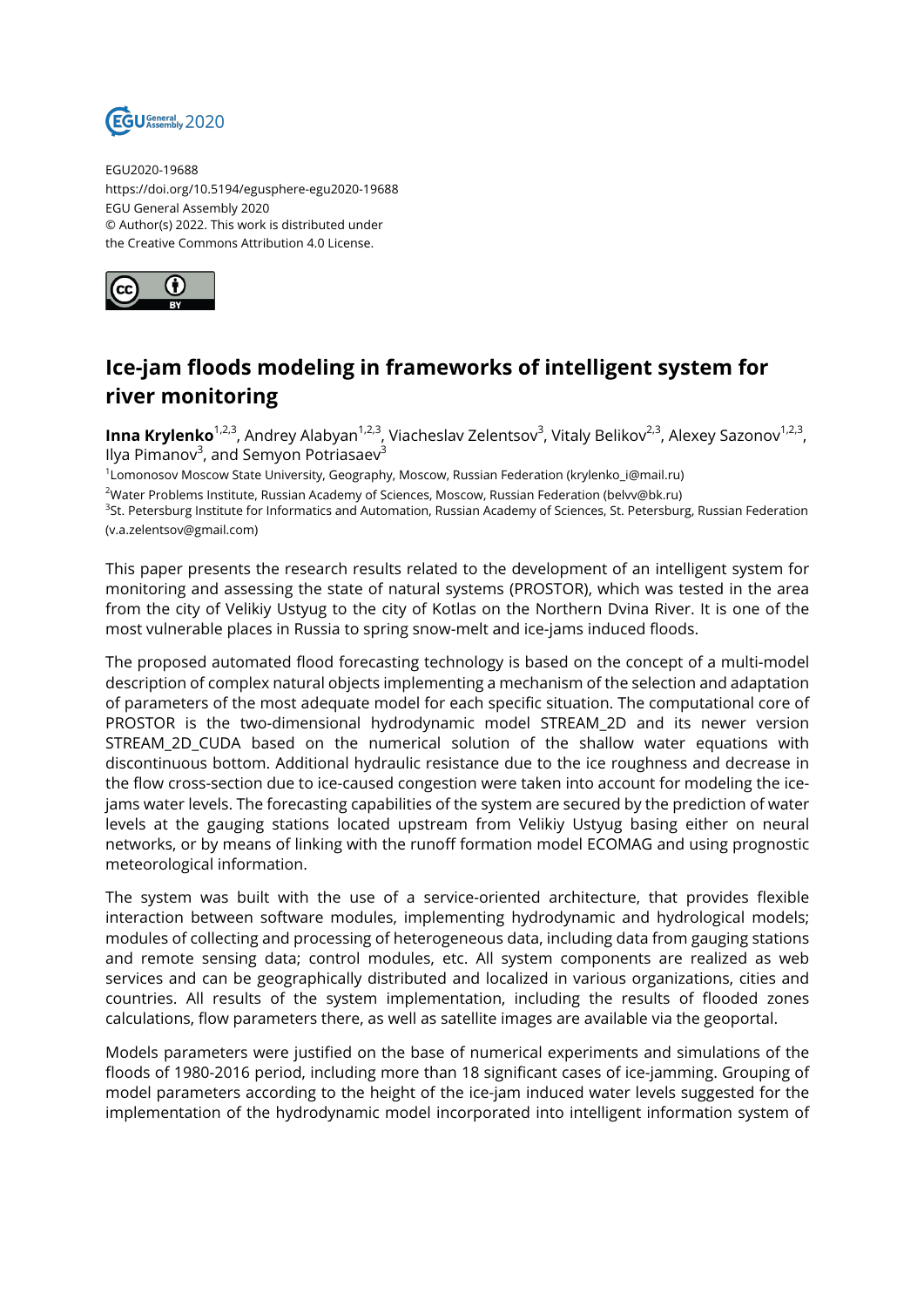

EGU2020-19688 https://doi.org/10.5194/egusphere-egu2020-19688 EGU General Assembly 2020 © Author(s) 2022. This work is distributed under the Creative Commons Attribution 4.0 License.



## **Ice-jam floods modeling in frameworks of intelligent system for river monitoring**

**Inna Krylenko**<sup>1,2,3</sup>, Andrey Alabyan<sup>1,2,3</sup>, Viacheslav Zelentsov<sup>3</sup>, Vitaly Belikov<sup>2,3</sup>, Alexey Sazonov<sup>1,2,3</sup>, llya Pimanov<sup>3</sup>, and Semyon Potriasaev<sup>3</sup>

1 Lomonosov Moscow State University, Geography, Moscow, Russian Federation (krylenko\_i@mail.ru)

<sup>2</sup>Water Problems Institute, Russian Academy of Sciences, Moscow, Russian Federation (belvv@bk.ru)

<sup>3</sup>St. Petersburg Institute for Informatics and Automation, Russian Academy of Sciences, St. Petersburg, Russian Federation (v.a.zelentsov@gmail.com)

This paper presents the research results related to the development of an intelligent system for monitoring and assessing the state of natural systems (PROSTOR), which was tested in the area from the city of Velikiy Ustyug to the city of Kotlas on the Northern Dvina River. It is one of the most vulnerable places in Russia to spring snow-melt and ice-jams induced floods.

The proposed automated flood forecasting technology is based on the concept of a multi-model description of complex natural objects implementing a mechanism of the selection and adaptation of parameters of the most adequate model for each specific situation. The computational core of PROSTOR is the two-dimensional hydrodynamic model STREAM\_2D and its newer version STREAM\_2D\_CUDA based on the numerical solution of the shallow water equations with discontinuous bottom. Additional hydraulic resistance due to the ice roughness and decrease in the flow cross-section due to ice-caused congestion were taken into account for modeling the icejams water levels. The forecasting capabilities of the system are secured by the prediction of water levels at the gauging stations located upstream from Velikiy Ustyug basing either on neural networks, or by means of linking with the runoff formation model ECOMAG and using prognostic meteorological information.

The system was built with the use of a service-oriented architecture, that provides flexible interaction between software modules, implementing hydrodynamic and hydrological models; modules of collecting and processing of heterogeneous data, including data from gauging stations and remote sensing data; control modules, etc. All system components are realized as web services and can be geographically distributed and localized in various organizations, cities and countries. All results of the system implementation, including the results of flooded zones calculations, flow parameters there, as well as satellite images are available via the geoportal.

Models parameters were justified on the base of numerical experiments and simulations of the floods of 1980-2016 period, including more than 18 significant cases of ice-jamming. Grouping of model parameters according to the height of the ice-jam induced water levels suggested for the implementation of the hydrodynamic model incorporated into intelligent information system of